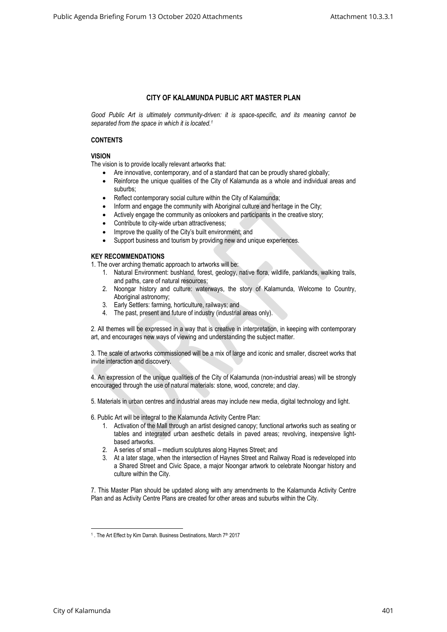# **CITY OF KALAMUNDA PUBLIC ART MASTER PLAN**

*Good Public Art is ultimately community-driven: it is space-specific, and its meaning cannot be separated from the space in which it is located.<sup>1</sup>*

## **CONTENTS**

## **VISION**

The vision is to provide locally relevant artworks that:

- Are innovative, contemporary, and of a standard that can be proudly shared globally;
- Reinforce the unique qualities of the City of Kalamunda as a whole and individual areas and suburbs;
- Reflect contemporary social culture within the City of Kalamunda;
- Inform and engage the community with Aboriginal culture and heritage in the City;
- Actively engage the community as onlookers and participants in the creative story;
- Contribute to city-wide urban attractiveness;
- Improve the quality of the City's built environment; and
- Support business and tourism by providing new and unique experiences.

## **KEY RECOMMENDATIONS**

1. The over arching thematic approach to artworks will be:

- 1. Natural Environment: bushland, forest, geology, native flora, wildlife, parklands, walking trails, and paths, care of natural resources;
- 2. Noongar history and culture: waterways, the story of Kalamunda, Welcome to Country, Aboriginal astronomy;
- 3. Early Settlers: farming, horticulture, railways; and
- 4. The past, present and future of industry (industrial areas only).

2. All themes will be expressed in a way that is creative in interpretation, in keeping with contemporary art, and encourages new ways of viewing and understanding the subject matter.

3. The scale of artworks commissioned will be a mix of large and iconic and smaller, discreet works that invite interaction and discovery.

4. An expression of the unique qualities of the City of Kalamunda (non-industrial areas) will be strongly encouraged through the use of natural materials: stone, wood, concrete; and clay.

5. Materials in urban centres and industrial areas may include new media, digital technology and light.

6. Public Art will be integral to the Kalamunda Activity Centre Plan:

- 1. Activation of the Mall through an artist designed canopy; functional artworks such as seating or tables and integrated urban aesthetic details in paved areas; revolving, inexpensive lightbased artworks.
- 2. A series of small medium sculptures along Haynes Street; and
- 3. At a later stage, when the intersection of Haynes Street and Railway Road is redeveloped into a Shared Street and Civic Space, a major Noongar artwork to celebrate Noongar history and culture within the City.

7. This Master Plan should be updated along with any amendments to the Kalamunda Activity Centre Plan and as Activity Centre Plans are created for other areas and suburbs within the City.

<sup>&</sup>lt;sup>1</sup>. The Art Effect by Kim Darrah. Business Destinations, March 7<sup>th</sup> 2017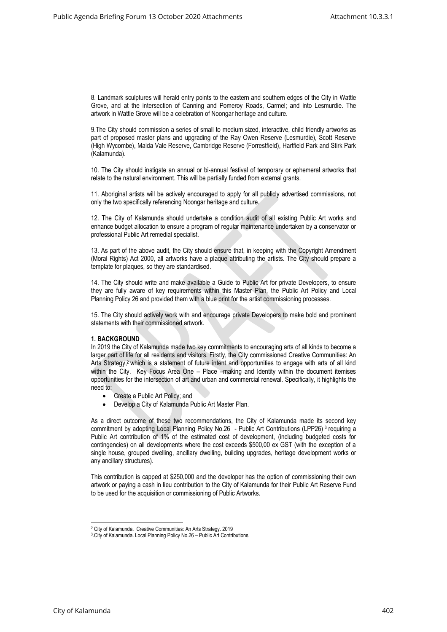8. Landmark sculptures will herald entry points to the eastern and southern edges of the City in Wattle Grove, and at the intersection of Canning and Pomeroy Roads, Carmel; and into Lesmurdie. The artwork in Wattle Grove will be a celebration of Noongar heritage and culture.

9.The City should commission a series of small to medium sized, interactive, child friendly artworks as part of proposed master plans and upgrading of the Ray Owen Reserve (Lesmurdie), Scott Reserve (High Wycombe), Maida Vale Reserve, Cambridge Reserve (Forrestfield), Hartfield Park and Stirk Park (Kalamunda).

10. The City should instigate an annual or bi-annual festival of temporary or ephemeral artworks that relate to the natural environment. This will be partially funded from external grants.

11. Aboriginal artists will be actively encouraged to apply for all publicly advertised commissions, not only the two specifically referencing Noongar heritage and culture.

12. The City of Kalamunda should undertake a condition audit of all existing Public Art works and enhance budget allocation to ensure a program of regular maintenance undertaken by a conservator or professional Public Art remedial specialist.

13. As part of the above audit, the City should ensure that, in keeping with the Copyright Amendment (Moral Rights) Act 2000, all artworks have a plaque attributing the artists. The City should prepare a template for plaques, so they are standardised.

14. The City should write and make available a Guide to Public Art for private Developers, to ensure they are fully aware of key requirements within this Master Plan, the Public Art Policy and Local Planning Policy 26 and provided them with a blue print for the artist commissioning processes.

15. The City should actively work with and encourage private Developers to make bold and prominent statements with their commissioned artwork.

## **1. BACKGROUND**

In 2019 the City of Kalamunda made two key commitments to encouraging arts of all kinds to become a larger part of life for all residents and visitors. Firstly, the City commissioned Creative Communities: An Arts Strategy, <sup>2</sup> which is a statement of future intent and opportunities to engage with arts of all kind within the City. Key Focus Area One – Place –making and Identity within the document itemises opportunities for the intersection of art and urban and commercial renewal. Specifically, it highlights the need to:

- Create a Public Art Policy; and
- Develop a City of Kalamunda Public Art Master Plan.

As a direct outcome of these two recommendations, the City of Kalamunda made its second key commitment by adopting Local Planning Policy No.26 - Public Art Contributions (LPP26)<sup>3</sup> requiring a Public Art contribution of 1% of the estimated cost of development, (including budgeted costs for contingencies) on all developments where the cost exceeds \$500,00 ex GST (with the exception of a single house, grouped dwelling, ancillary dwelling, building upgrades, heritage development works or any ancillary structures).

This contribution is capped at \$250,000 and the developer has the option of commissioning their own artwork or paying a cash in lieu contribution to the City of Kalamunda for their Public Art Reserve Fund to be used for the acquisition or commissioning of Public Artworks.

<sup>2</sup> City of Kalamunda. Creative Communities: An Arts Strategy. 2019

<sup>3</sup> .City of Kalamunda. Local Planning Policy No.26 – Public Art Contributions.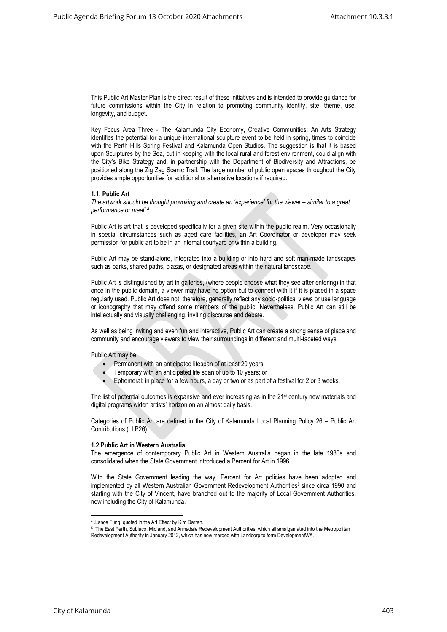This Public Art Master Plan is the direct result of these initiatives and is intended to provide guidance for future commissions within the City in relation to promoting community identity, site, theme, use, longevity, and budget.

Key Focus Area Three - The Kalamunda City Economy, Creative Communities: An Arts Strategy identifies the potential for a unique international sculpture event to be held in spring, times to coincide with the Perth Hills Spring Festival and Kalamunda Open Studios. The suggestion is that it is based upon Sculptures by the Sea, but in keeping with the local rural and forest environment, could align with the City's Bike Strategy and, in partnership with the Department of Biodiversity and Attractions, be positioned along the Zig Zag Scenic Trail. The large number of public open spaces throughout the City provides ample opportunities for additional or alternative locations if required.

#### **1.1. Public Art**

*The artwork should be thought provoking and create an 'experience' for the viewer – similar to a great performance or meal'.<sup>4</sup>*

Public Art is art that is developed specifically for a given site within the public realm. Very occasionally in special circumstances such as aged care facilities, an Art Coordinator or developer may seek permission for public art to be in an internal courtyard or within a building.

Public Art may be stand-alone, integrated into a building or into hard and soft man-made landscapes such as parks, shared paths, plazas, or designated areas within the natural landscape.

Public Art is distinguished by art in galleries, (where people choose what they see after entering) in that once in the public domain, a viewer may have no option but to connect with it if it is placed in a space regularly used. Public Art does not, therefore, generally reflect any socio-political views or use language or iconography that may offend some members of the public. Nevertheless, Public Art can still be intellectually and visually challenging, inviting discourse and debate.

As well as being inviting and even fun and interactive, Public Art can create a strong sense of place and community and encourage viewers to view their surroundings in different and multi-faceted ways.

Public Art may be:

- Permanent with an anticipated lifespan of at least 20 years;
- Temporary with an anticipated life span of up to 10 years; or
- Ephemeral: in place for a few hours, a day or two or as part of a festival for 2 or 3 weeks.

The list of potential outcomes is expansive and ever increasing as in the 21<sup>st</sup> century new materials and digital programs widen artists' horizon on an almost daily basis.

Categories of Public Art are defined in the City of Kalamunda Local Planning Policy 26 – Public Art Contributions (LLP26).

#### **1.2 Public Art in Western Australia**

The emergence of contemporary Public Art in Western Australia began in the late 1980s and consolidated when the State Government introduced a Percent for Art in 1996.

With the State Government leading the way, Percent for Art policies have been adopted and implemented by all Western Australian Government Redevelopment Authorities<sup>5</sup> since circa 1990 and starting with the City of Vincent, have branched out to the majority of Local Government Authorities, now including the City of Kalamunda.

<sup>4</sup> .Lance Fung, quoted in the Art Effect by Kim Darrah.

<sup>&</sup>lt;sup>5</sup> The East Perth, Subiaco, Midland, and Armadale Redevelopment Authorities, which all amalgamated into the Metropolitan Redevelopment Authority in January 2012, which has now merged with Landcorp to form DevelopmentWA.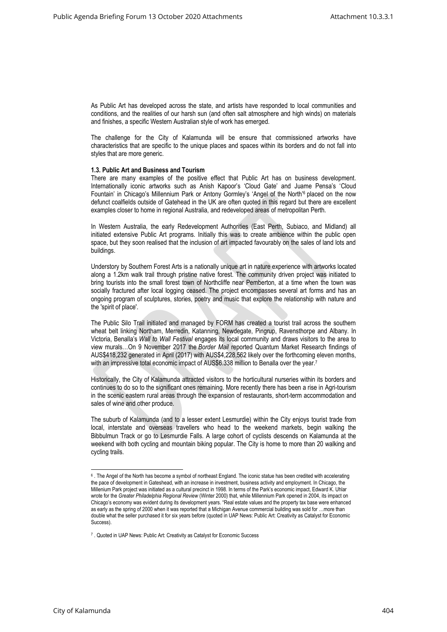As Public Art has developed across the state, and artists have responded to local communities and conditions, and the realities of our harsh sun (and often salt atmosphere and high winds) on materials and finishes, a specific Western Australian style of work has emerged.

The challenge for the City of Kalamunda will be ensure that commissioned artworks have characteristics that are specific to the unique places and spaces within its borders and do not fall into styles that are more generic.

#### **1.3. Public Art and Business and Tourism**

There are many examples of the positive effect that Public Art has on business development. Internationally iconic artworks such as Anish Kapoor's 'Cloud Gate' and Juame Pensa's 'Cloud Fountain' in Chicago's Millennium Park or Antony Gormley's 'Angel of the North'<sup>6</sup> placed on the now defunct coalfields outside of Gatehead in the UK are often quoted in this regard but there are excellent examples closer to home in regional Australia, and redeveloped areas of metropolitan Perth.

In Western Australia, the early Redevelopment Authorities (East Perth, Subiaco, and Midland) all initiated extensive Public Art programs. Initially this was to create ambience within the public open space, but they soon realised that the inclusion of art impacted favourably on the sales of land lots and buildings.

Understory by Southern Forest Arts is a nationally unique art in nature experience with artworks located along a 1.2km walk trail through pristine native forest. The community driven project was initiated to bring tourists into the small forest town of Northcliffe near Pemberton, at a time when the town was socially fractured after local logging ceased. The project encompasses several art forms and has an ongoing program of sculptures, stories, poetry and music that explore the relationship with nature and the 'spirit of place'.

The Public Silo Trail initiated and managed by FORM has created a tourist trail across the southern wheat belt linking Northam, Merredin, Katanning, Newdegate, Pingrup, Ravensthorpe and Albany. In Victoria, Benalla's *Wall to Wall Festival* engages its local community and draws visitors to the area to view murals…On 9 November 2017 the *Border Mail* reported Quantum Market Research findings of AUS\$418,232 generated in April (2017) with AUS\$4,228,562 likely over the forthcoming eleven months, with an impressive total economic impact of AUS\$6.338 million to Benalla over the year.<sup>7</sup>

Historically, the City of Kalamunda attracted visitors to the horticultural nurseries within its borders and continues to do so to the significant ones remaining. More recently there has been a rise in Agri-tourism in the scenic eastern rural areas through the expansion of restaurants, short-term accommodation and sales of wine and other produce.

The suburb of Kalamunda (and to a lesser extent Lesmurdie) within the City enjoys tourist trade from local, interstate and overseas travellers who head to the weekend markets, begin walking the Bibbulmun Track or go to Lesmurdie Falls. A large cohort of cyclists descends on Kalamunda at the weekend with both cycling and mountain biking popular. The City is home to more than 20 walking and cycling trails.

 $^6$  . The Angel of the North has become a symbol of northeast England. The iconic statue has been credited with accelerating the pace of development in Gateshead, with an increase in investment, business activity and employment. In Chicago, the Millenium Park project was initiated as a cultural precinct in 1998. In terms of the Park's economic impact, Edward K. Uhlar wrote for the *Greater Philadelphia Regional Review* (Winter 2000) that, while Millennium Park opened in 2004, its impact on Chicago's economy was evident during its development years. "Real estate values and the property tax base were enhanced as early as the spring of 2000 when it was reported that a Michigan Avenue commercial building was sold for …more than double what the seller purchased it for six years before (quoted in UAP News: Public Art: Creativity as Catalyst for Economic Success).

<sup>&</sup>lt;sup>7</sup> . Quoted in UAP News: Public Art: Creativity as Catalyst for Economic Success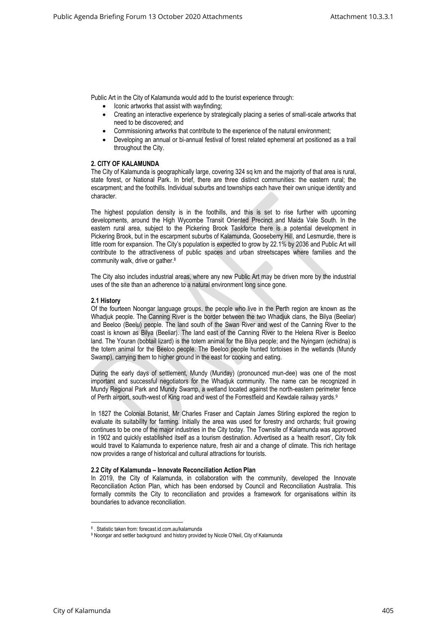Public Art in the City of Kalamunda would add to the tourist experience through:

- Iconic artworks that assist with wayfinding;
- Creating an interactive experience by strategically placing a series of small-scale artworks that need to be discovered; and
- Commissioning artworks that contribute to the experience of the natural environment;
- Developing an annual or bi-annual festival of forest related ephemeral art positioned as a trail throughout the City.

#### **2. CITY OF KALAMUNDA**

The City of Kalamunda is geographically large, covering 324 sq km and the majority of that area is rural, state forest, or National Park. In brief, there are three distinct communities: the eastern rural; the escarpment; and the foothills. Individual suburbs and townships each have their own unique identity and character.

The highest population density is in the foothills, and this is set to rise further with upcoming developments, around the High Wycombe Transit Oriented Precinct and Maida Vale South. In the eastern rural area, subject to the Pickering Brook Taskforce there is a potential development in Pickering Brook, but in the escarpment suburbs of Kalamunda, Gooseberry Hill, and Lesmurdie, there is little room for expansion. The City's population is expected to grow by 22.1% by 2036 and Public Art will contribute to the attractiveness of public spaces and urban streetscapes where families and the community walk, drive or gather.<sup>8</sup>

The City also includes industrial areas, where any new Public Art may be driven more by the industrial uses of the site than an adherence to a natural environment long since gone.

#### **2.1 History**

Of the fourteen Noongar language groups, the people who live in the Perth region are known as the Whadjuk people. The Canning River is the border between the two Whadjuk clans, the Bilya (Beeliar) and Beeloo (Beelu) people. The land south of the Swan River and west of the Canning River to the coast is known as Bilya (Beeliar). The land east of the Canning River to the Helena River is Beeloo land. The Youran (bobtail lizard) is the totem animal for the Bilya people; and the Nyingarn (echidna) is the totem animal for the Beeloo people. The Beeloo people hunted tortoises in the wetlands (Mundy Swamp), carrying them to higher ground in the east for cooking and eating.

During the early days of settlement, Mundy (Munday) (pronounced mun-dee) was one of the most important and successful negotiators for the Whadjuk community. The name can be recognized in Mundy Regional Park and Mundy Swamp, a wetland located against the north-eastern perimeter fence of Perth airport, south-west of King road and west of the Forrestfield and Kewdale railway yards.<sup>9</sup>

In 1827 the Colonial Botanist, Mr Charles Fraser and Captain James Stirling explored the region to evaluate its suitability for farming. Initially the area was used for forestry and orchards; fruit growing continues to be one of the major industries in the City today. The Townsite of Kalamunda was approved in 1902 and quickly established itself as a tourism destination. Advertised as a 'health resort', City folk would travel to Kalamunda to experience nature, fresh air and a change of climate. This rich heritage now provides a range of historical and cultural attractions for tourists.

#### **2.2 City of Kalamunda – Innovate Reconciliation Action Plan**

In 2019, the City of Kalamunda, in collaboration with the community, developed the Innovate Reconciliation Action Plan, which has been endorsed by Council and Reconciliation Australia. This formally commits the City to reconciliation and provides a framework for organisations within its boundaries to advance reconciliation.

<sup>8</sup> . Statistic taken from: forecast.id.com.au/kalamunda

<sup>9</sup> Noongar and settler background and history provided by Nicole O'Neil, City of Kalamunda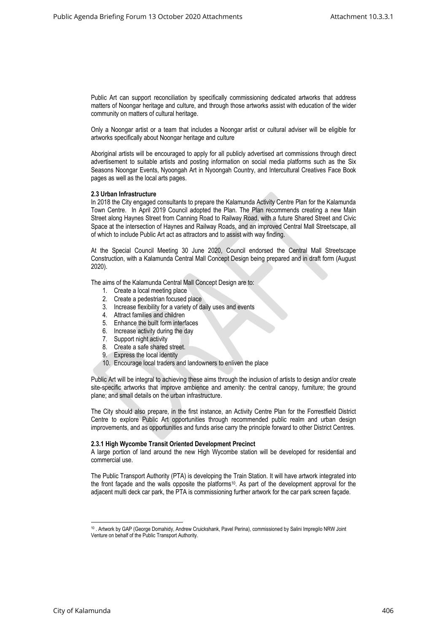Public Art can support reconciliation by specifically commissioning dedicated artworks that address matters of Noongar heritage and culture, and through those artworks assist with education of the wider community on matters of cultural heritage.

Only a Noongar artist or a team that includes a Noongar artist or cultural adviser will be eligible for artworks specifically about Noongar heritage and culture

Aboriginal artists will be encouraged to apply for all publicly advertised art commissions through direct advertisement to suitable artists and posting information on social media platforms such as the Six Seasons Noongar Events, Nyoongah Art in Nyoongah Country, and Intercultural Creatives Face Book pages as well as the local arts pages.

#### **2.3 Urban Infrastructure**

In 2018 the City engaged consultants to prepare the Kalamunda Activity Centre Plan for the Kalamunda Town Centre. In April 2019 Council adopted the Plan. The Plan recommends creating a new Main Street along Haynes Street from Canning Road to Railway Road, with a future Shared Street and Civic Space at the intersection of Haynes and Railway Roads, and an improved Central Mall Streetscape, all of which to include Public Art act as attractors and to assist with way finding.

At the Special Council Meeting 30 June 2020, Council endorsed the Central Mall Streetscape Construction, with a Kalamunda Central Mall Concept Design being prepared and in draft form (August 2020).

The aims of the Kalamunda Central Mall Concept Design are to:

- 1. Create a local meeting place
- 2. Create a pedestrian focused place
- 3. Increase flexibility for a variety of daily uses and events
- 4. Attract families and children
- 5. Enhance the built form interfaces
- 6. Increase activity during the day
- 7. Support night activity
- 8. Create a safe shared street.
- 9. Express the local identity
- 10. Encourage local traders and landowners to enliven the place

Public Art will be integral to achieving these aims through the inclusion of artists to design and/or create site-specific artworks that improve ambience and amenity: the central canopy, furniture; the ground plane; and small details on the urban infrastructure.

The City should also prepare, in the first instance, an Activity Centre Plan for the Forrestfield District Centre to explore Public Art opportunities through recommended public realm and urban design improvements, and as opportunities and funds arise carry the principle forward to other District Centres.

#### **2.3.1 High Wycombe Transit Oriented Development Precinct**

A large portion of land around the new High Wycombe station will be developed for residential and commercial use.

The Public Transport Authority (PTA) is developing the Train Station. It will have artwork integrated into the front façade and the walls opposite the platforms<sup>10</sup>. As part of the development approval for the adjacent multi deck car park, the PTA is commissioning further artwork for the car park screen façade.

<sup>10</sup> . Artwork by GAP (George Domahidy, Andrew Cruickshank, Pavel Perina), commissioned by Salini Impregilo NRW Joint Venture on behalf of the Public Transport Authority.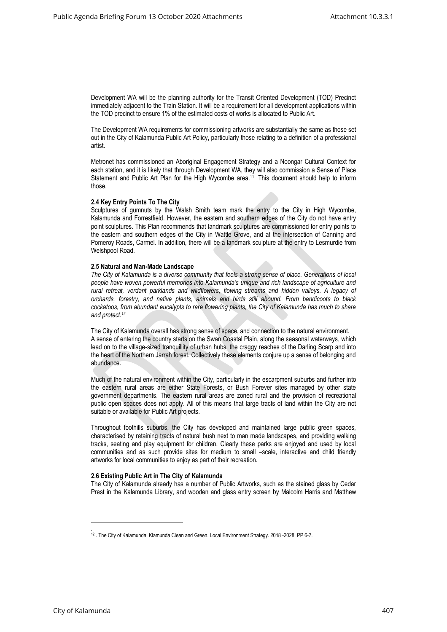Development WA will be the planning authority for the Transit Oriented Development (TOD) Precinct immediately adjacent to the Train Station. It will be a requirement for all development applications within the TOD precinct to ensure 1% of the estimated costs of works is allocated to Public Art.

The Development WA requirements for commissioning artworks are substantially the same as those set out in the City of Kalamunda Public Art Policy, particularly those relating to a definition of a professional artist.

Metronet has commissioned an Aboriginal Engagement Strategy and a Noongar Cultural Context for each station, and it is likely that through Development WA, they will also commission a Sense of Place Statement and Public Art Plan for the High Wycombe area.<sup>11</sup> This document should help to inform those.

#### **2.4 Key Entry Points To The City**

Sculptures of gumnuts by the Walsh Smith team mark the entry to the City in High Wycombe, Kalamunda and Forrestfield. However, the eastern and southern edges of the City do not have entry point sculptures. This Plan recommends that landmark sculptures are commissioned for entry points to the eastern and southern edges of the City in Wattle Grove, and at the intersection of Canning and Pomeroy Roads, Carmel. In addition, there will be a landmark sculpture at the entry to Lesmurdie from Welshpool Road.

#### **2.5 Natural and Man-Made Landscape**

*The City of Kalamunda is a diverse community that feels a strong sense of place. Generations of local people have woven powerful memories into Kalamunda's unique and rich landscape of agriculture and rural retreat, verdant parklands and wildflowers, flowing streams and hidden valleys. A legacy of orchards, forestry, and native plants, animals and birds still abound. From bandicoots to black cockatoos, from abundant eucalypts to rare flowering plants, the City of Kalamunda has much to share and protect.<sup>12</sup>*

The City of Kalamunda overall has strong sense of space, and connection to the natural environment. A sense of entering the country starts on the Swan Coastal Plain, along the seasonal waterways, which lead on to the village-sized tranquillity of urban hubs, the craggy reaches of the Darling Scarp and into the heart of the Northern Jarrah forest. Collectively these elements conjure up a sense of belonging and abundance.

Much of the natural environment within the City, particularly in the escarpment suburbs and further into the eastern rural areas are either State Forests, or Bush Forever sites managed by other state government departments. The eastern rural areas are zoned rural and the provision of recreational public open spaces does not apply. All of this means that large tracts of land within the City are not suitable or available for Public Art projects.

Throughout foothills suburbs, the City has developed and maintained large public green spaces, characterised by retaining tracts of natural bush next to man made landscapes, and providing walking tracks, seating and play equipment for children. Clearly these parks are enjoyed and used by local communities and as such provide sites for medium to small –scale, interactive and child friendly artworks for local communities to enjoy as part of their recreation.

#### **2.6 Existing Public Art in The City of Kalamunda**

The City of Kalamunda already has a number of Public Artworks, such as the stained glass by Cedar Prest in the Kalamunda Library, and wooden and glass entry screen by Malcolm Harris and Matthew

<sup>.</sup> <sup>12</sup> . The City of Kalamunda. Klamunda Clean and Green. Local Environment Strategy. 2018 -2028. PP 6-7.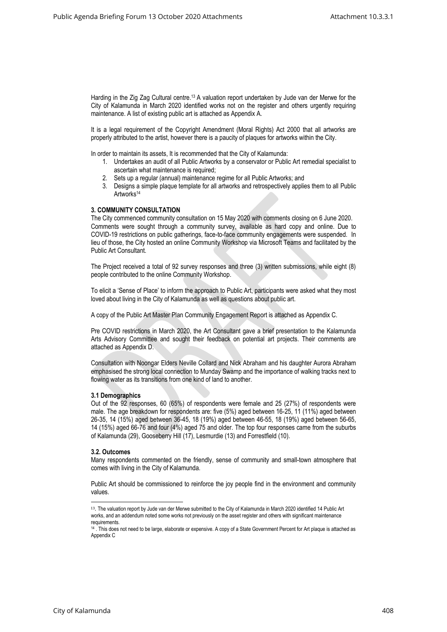Harding in the Zig Zag Cultural centre.<sup>13</sup> A valuation report undertaken by Jude van der Merwe for the City of Kalamunda in March 2020 identified works not on the register and others urgently requiring maintenance. A list of existing public art is attached as Appendix A.

It is a legal requirement of the Copyright Amendment (Moral Rights) Act 2000 that all artworks are properly attributed to the artist, however there is a paucity of plaques for artworks within the City.

In order to maintain its assets, It is recommended that the City of Kalamunda:

- 1. Undertakes an audit of all Public Artworks by a conservator or Public Art remedial specialist to ascertain what maintenance is required;
- 2. Sets up a regular (annual) maintenance regime for all Public Artworks; and
- 3. Designs a simple plaque template for all artworks and retrospectively applies them to all Public Artworks<sup>14</sup>

## **3. COMMUNITY CONSULTATION**

The City commenced community consultation on 15 May 2020 with comments closing on 6 June 2020. Comments were sought through a community survey, available as hard copy and online. Due to COVID-19 restrictions on public gatherings, face-to-face community engagements were suspended. In lieu of those, the City hosted an online Community Workshop via Microsoft Teams and facilitated by the Public Art Consultant.

The Project received a total of 92 survey responses and three (3) written submissions, while eight (8) people contributed to the online Community Workshop.

To elicit a 'Sense of Place' to inform the approach to Public Art, participants were asked what they most loved about living in the City of Kalamunda as well as questions about public art.

A copy of the Public Art Master Plan Community Engagement Report is attached as Appendix C.

Pre COVID restrictions in March 2020, the Art Consultant gave a brief presentation to the Kalamunda Arts Advisory Committee and sought their feedback on potential art projects. Their comments are attached as Appendix D.

Consultation with Noongar Elders Neville Collard and Nick Abraham and his daughter Aurora Abraham emphasised the strong local connection to Munday Swamp and the importance of walking tracks next to flowing water as its transitions from one kind of land to another.

#### **3.1 Demographics**

Out of the 92 responses, 60 (65%) of respondents were female and 25 (27%) of respondents were male. The age breakdown for respondents are: five (5%) aged between 16-25, 11 (11%) aged between 26-35, 14 (15%) aged between 36-45, 18 (19%) aged between 46-55, 18 (19%) aged between 56-65, 14 (15%) aged 66-76 and four (4%) aged 75 and older. The top four responses came from the suburbs of Kalamunda (29), Gooseberry Hill (17), Lesmurdie (13) and Forrestfield (10).

#### **3.2. Outcomes**

Many respondents commented on the friendly, sense of community and small-town atmosphere that comes with living in the City of Kalamunda.

Public Art should be commissioned to reinforce the joy people find in the environment and community values.

<sup>13</sup>. The valuation report by Jude van der Merwe submitted to the City of Kalamunda in March 2020 identified 14 Public Art works, and an addendum noted some works not previously on the asset register and others with significant maintenance requirements.

<sup>&</sup>lt;sup>14</sup> . This does not need to be large, elaborate or expensive. A copy of a State Government Percent for Art plaque is attached as Appendix C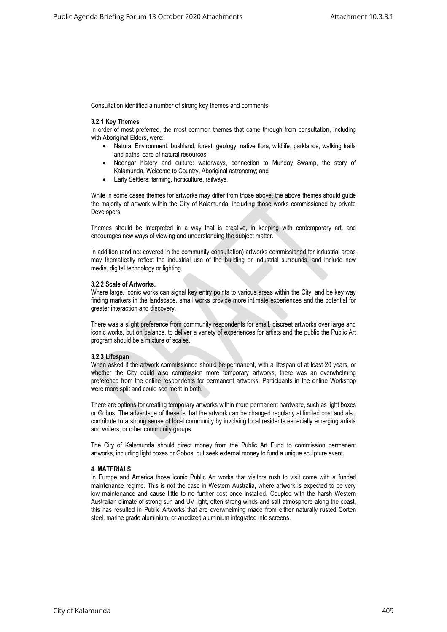Consultation identified a number of strong key themes and comments.

#### **3.2.1 Key Themes**

In order of most preferred, the most common themes that came through from consultation, including with Aboriginal Elders, were:

- Natural Environment: bushland, forest, geology, native flora, wildlife, parklands, walking trails and paths, care of natural resources;
- Noongar history and culture: waterways, connection to Munday Swamp, the story of Kalamunda, Welcome to Country, Aboriginal astronomy; and
- Early Settlers: farming, horticulture, railways.

While in some cases themes for artworks may differ from those above, the above themes should guide the majority of artwork within the City of Kalamunda, including those works commissioned by private Developers.

Themes should be interpreted in a way that is creative, in keeping with contemporary art, and encourages new ways of viewing and understanding the subject matter.

In addition (and not covered in the community consultation) artworks commissioned for industrial areas may thematically reflect the industrial use of the building or industrial surrounds, and include new media, digital technology or lighting.

#### **3.2.2 Scale of Artworks.**

Where large, iconic works can signal key entry points to various areas within the City, and be key way finding markers in the landscape, small works provide more intimate experiences and the potential for greater interaction and discovery.

There was a slight preference from community respondents for small, discreet artworks over large and iconic works, but on balance, to deliver a variety of experiences for artists and the public the Public Art program should be a mixture of scales.

#### **3.2.3 Lifespan**

When asked if the artwork commissioned should be permanent, with a lifespan of at least 20 years, or whether the City could also commission more temporary artworks, there was an overwhelming preference from the online respondents for permanent artworks. Participants in the online Workshop were more split and could see merit in both.

There are options for creating temporary artworks within more permanent hardware, such as light boxes or Gobos. The advantage of these is that the artwork can be changed regularly at limited cost and also contribute to a strong sense of local community by involving local residents especially emerging artists and writers, or other community groups.

The City of Kalamunda should direct money from the Public Art Fund to commission permanent artworks, including light boxes or Gobos, but seek external money to fund a unique sculpture event.

## **4. MATERIALS**

In Europe and America those iconic Public Art works that visitors rush to visit come with a funded maintenance regime. This is not the case in Western Australia, where artwork is expected to be very low maintenance and cause little to no further cost once installed. Coupled with the harsh Western Australian climate of strong sun and UV light, often strong winds and salt atmosphere along the coast, this has resulted in Public Artworks that are overwhelming made from either naturally rusted Corten steel, marine grade aluminium, or anodized aluminium integrated into screens.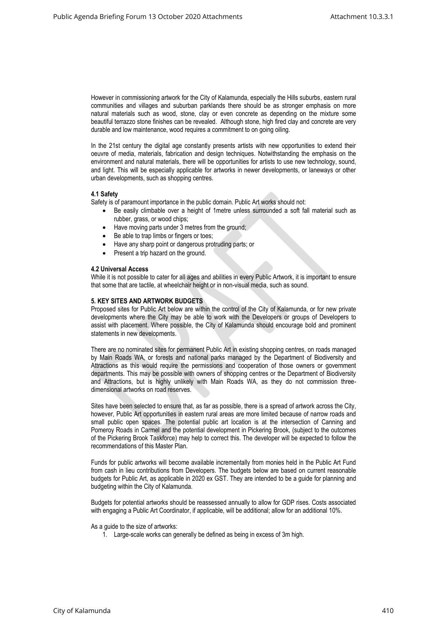However in commissioning artwork for the City of Kalamunda, especially the Hills suburbs, eastern rural communities and villages and suburban parklands there should be as stronger emphasis on more natural materials such as wood, stone, clay or even concrete as depending on the mixture some beautiful terrazzo stone finishes can be revealed. Although stone, high fired clay and concrete are very durable and low maintenance, wood requires a commitment to on going oiling.

In the 21st century the digital age constantly presents artists with new opportunities to extend their oeuvre of media, materials, fabrication and design techniques. Notwithstanding the emphasis on the environment and natural materials, there will be opportunities for artists to use new technology, sound, and light. This will be especially applicable for artworks in newer developments, or laneways or other urban developments, such as shopping centres.

## **4.1 Safety**

Safety is of paramount importance in the public domain. Public Art works should not:

- Be easily climbable over a height of 1metre unless surrounded a soft fall material such as rubber, grass, or wood chips;
- Have moving parts under 3 metres from the ground;
- Be able to trap limbs or fingers or toes:
- Have any sharp point or dangerous protruding parts; or
- Present a trip hazard on the ground.

## **4.2 Universal Access**

While it is not possible to cater for all ages and abilities in every Public Artwork, it is important to ensure that some that are tactile, at wheelchair height or in non-visual media, such as sound.

## **5. KEY SITES AND ARTWORK BUDGETS**

Proposed sites for Public Art below are within the control of the City of Kalamunda, or for new private developments where the City may be able to work with the Developers or groups of Developers to assist with placement. Where possible, the City of Kalamunda should encourage bold and prominent statements in new developments.

There are no nominated sites for permanent Public Art in existing shopping centres, on roads managed by Main Roads WA, or forests and national parks managed by the Department of Biodiversity and Attractions as this would require the permissions and cooperation of those owners or government departments. This may be possible with owners of shopping centres or the Department of Biodiversity and Attractions, but is highly unlikely with Main Roads WA, as they do not commission threedimensional artworks on road reserves.

Sites have been selected to ensure that, as far as possible, there is a spread of artwork across the City, however, Public Art opportunities in eastern rural areas are more limited because of narrow roads and small public open spaces. The potential public art location is at the intersection of Canning and Pomeroy Roads in Carmel and the potential development in Pickering Brook, (subject to the outcomes of the Pickering Brook Taskforce) may help to correct this. The developer will be expected to follow the recommendations of this Master Plan.

Funds for public artworks will become available incrementally from monies held in the Public Art Fund from cash in lieu contributions from Developers. The budgets below are based on current reasonable budgets for Public Art, as applicable in 2020 ex GST. They are intended to be a guide for planning and budgeting within the City of Kalamunda.

Budgets for potential artworks should be reassessed annually to allow for GDP rises. Costs associated with engaging a Public Art Coordinator, if applicable, will be additional; allow for an additional 10%.

## As a guide to the size of artworks:

1. Large-scale works can generally be defined as being in excess of 3m high.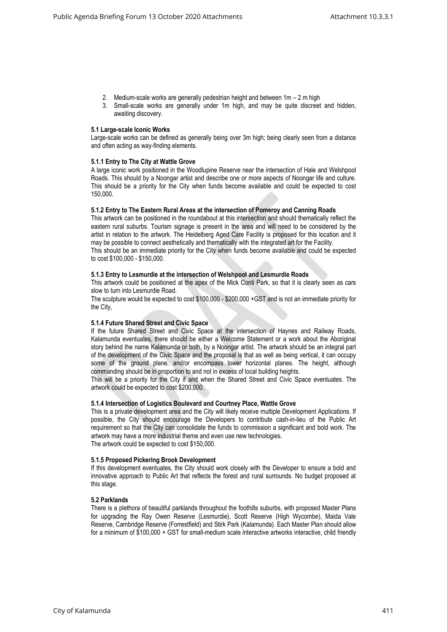- 2. Medium-scale works are generally pedestrian height and between 1m 2 m high
- 3. Small-scale works are generally under 1m high, and may be quite discreet and hidden, awaiting discovery.

#### **5.1 Large-scale Iconic Works**

Large-scale works can be defined as generally being over 3m high; being clearly seen from a distance and often acting as way-finding elements.

## **5.1.1 Entry to The City at Wattle Grove**

A large iconic work positioned in the Woodlupine Reserve near the intersection of Hale and Welshpool Roads. This should by a Noongar artist and describe one or more aspects of Noongar life and culture. This should be a priority for the City when funds become available and could be expected to cost 150,000.

#### **5.1.2 Entry to The Eastern Rural Areas at the intersection of Pomeroy and Canning Roads**

This artwork can be positioned in the roundabout at this intersection and should thematically reflect the eastern rural suburbs. Tourism signage is present in the area and will need to be considered by the artist in relation to the artwork. The Heidelberg Aged Care Facility is proposed for this location and it may be possible to connect aesthetically and thematically with the integrated art for the Facility. This should be an immediate priority for the City when funds become available and could be expected to cost \$100,000 - \$150,000.

## **5.1.3 Entry to Lesmurdie at the intersection of Welshpool and Lesmurdie Roads**

This artwork could be positioned at the apex of the Mick Conti Park, so that it is clearly seen as cars slow to turn into Lesmurdie Road.

The sculpture would be expected to cost \$100,000 - \$200,000 +GST and is not an immediate priority for the City,

## **5.1.4 Future Shared Street and Civic Space**

If the future Shared Street and Civic Space at the intersection of Haynes and Railway Roads, Kalamunda eventuates, there should be either a Welcome Statement or a work about the Aboriginal story behind the name Kalamunda or both, by a Noongar artist. The artwork should be an integral part of the development of the Civic Space and the proposal is that as well as being vertical, it can occupy some of the ground plane, and/or encompass lower horizontal planes. The height, although commanding should be in proportion to and not in excess of local building heights.

This will be a priority for the City if and when the Shared Street and Civic Space eventuates. The artwork could be expected to cost \$200,000.

#### **5.1.4 Intersection of Logistics Boulevard and Courtney Place, Wattle Grove**

This is a private development area and the City will likely receive multiple Development Applications. If possible, the City should encourage the Developers to contribute cash-in-lieu of the Public Art requirement so that the City can consolidate the funds to commission a significant and bold work. The artwork may have a more industrial theme and even use new technologies. The artwork could be expected to cost \$150,000.

## **5.1.5 Proposed Pickering Brook Development**

If this development eventuates, the City should work closely with the Developer to ensure a bold and innovative approach to Public Art that reflects the forest and rural surrounds. No budget proposed at this stage.

## **5.2 Parklands**

There is a plethora of beautiful parklands throughout the foothills suburbs, with proposed Master Plans for upgrading the Ray Owen Reserve (Lesmurdie), Scott Reserve (High Wycombe), Maida Vale Reserve, Cambridge Reserve (Forrestfield) and Stirk Park (Kalamunda). Each Master Plan should allow for a minimum of \$100,000 + GST for small-medium scale interactive artworks interactive, child friendly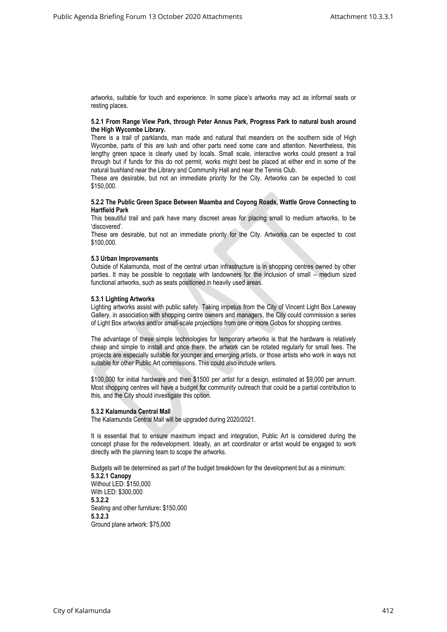artworks, suitable for touch and experience. In some place's artworks may act as informal seats or resting places.

#### **5.2.1 From Range View Park, through Peter Annus Park, Progress Park to natural bush around the High Wycombe Library.**

There is a trail of parklands, man made and natural that meanders on the southern side of High Wycombe, parts of this are lush and other parts need some care and attention. Nevertheless, this lengthy green space is clearly used by locals. Small scale, interactive works could present a trail through but if funds for this do not permit, works might best be placed at either end in some of the natural bushland near the Library and Community Hall and near the Tennis Club.

These are desirable, but not an immediate priority for the City. Artworks can be expected to cost \$150,000.

#### **5.2.2 The Public Green Space Between Maamba and Coyong Roads, Wattle Grove Connecting to Hartfield Park**

This beautiful trail and park have many discreet areas for placing small to medium artworks, to be 'discovered'.

These are desirable, but not an immediate priority for the City. Artworks can be expected to cost \$100,000.

#### **5.3 Urban Improvements**

Outside of Kalamunda, most of the central urban infrastructure is in shopping centres owned by other parties. It may be possible to negotiate with landowners for the inclusion of small – medium sized functional artworks, such as seats positioned in heavily used areas.

#### **5.3.1 Lighting Artworks**

Lighting artworks assist with public safety. Taking impetus from the City of Vincent Light Box Laneway Gallery, in association with shopping centre owners and managers, the City could commission a series of Light Box artworks and/or small-scale projections from one or more Gobos for shopping centres.

The advantage of these simple technologies for temporary artworks is that the hardware is relatively cheap and simple to install and once there, the artwork can be rotated regularly for small fees. The projects are especially suitable for younger and emerging artists, or those artists who work in ways not suitable for other Public Art commissions. This could also include writers.

\$100,000 for initial hardware and then \$1500 per artist for a design, estimated at \$9,000 per annum. Most shopping centres will have a budget for community outreach that could be a partial contribution to this, and the City should investigate this option.

## **5.3.2 Kalamunda Central Mall**

The Kalamunda Central Mall will be upgraded during 2020/2021.

It is essential that to ensure maximum impact and integration, Public Art is considered during the concept phase for the redevelopment. Ideally, an art coordinator or artist would be engaged to work directly with the planning team to scope the artworks.

Budgets will be determined as part of the budget breakdown for the development but as a minimum: **5.3.2.1 Canopy** Without LED: \$150,000 With LED: \$300,000 **5.3.2.2** Seating and other furniture**:** \$150,000 **5.3.2.3** Ground plane artwork: \$75,000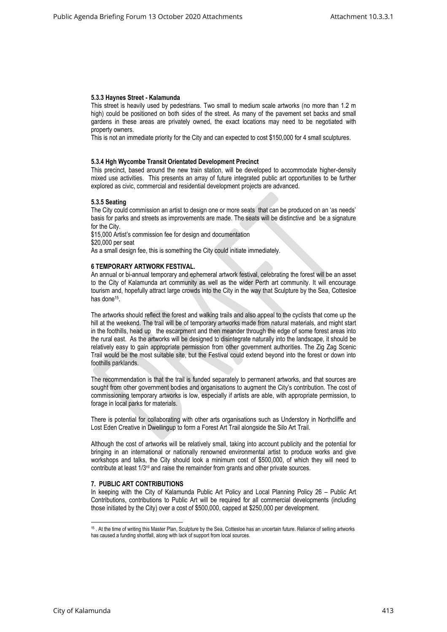## **5.3.3 Haynes Street - Kalamunda**

This street is heavily used by pedestrians. Two small to medium scale artworks (no more than 1.2 m high) could be positioned on both sides of the street. As many of the pavement set backs and small gardens in these areas are privately owned, the exact locations may need to be negotiated with property owners.

This is not an immediate priority for the City and can expected to cost \$150,000 for 4 small sculptures.

## **5.3.4 Hgh Wycombe Transit Orientated Development Precinct**

This precinct, based around the new train station, will be developed to accommodate higher-density mixed use activities. This presents an array of future integrated public art opportunities to be further explored as civic, commercial and residential development projects are advanced.

## **5.3.5 Seating**

The City could commission an artist to design one or more seats that can be produced on an 'as needs' basis for parks and streets as improvements are made. The seats will be distinctive and be a signature for the City.

\$15,000 Artist's commission fee for design and documentation \$20,000 per seat

As a small design fee, this is something the City could initiate immediately.

## **6 TEMPORARY ARTWORK FESTIVAL.**

An annual or bi-annual temporary and ephemeral artwork festival, celebrating the forest will be an asset to the City of Kalamunda art community as well as the wider Perth art community. It will encourage tourism and, hopefully attract large crowds into the City in the way that Sculpture by the Sea, Cottesloe has done<sup>15</sup>.

The artworks should reflect the forest and walking trails and also appeal to the cyclists that come up the hill at the weekend. The trail will be of temporary artworks made from natural materials, and might start in the foothills, head up the escarpment and then meander through the edge of some forest areas into the rural east. As the artworks will be designed to disintegrate naturally into the landscape, it should be relatively easy to gain appropriate permission from other government authorities. The Zig Zag Scenic Trail would be the most suitable site, but the Festival could extend beyond into the forest or down into foothills parklands.

The recommendation is that the trail is funded separately to permanent artworks, and that sources are sought from other government bodies and organisations to augment the City's contribution. The cost of commissioning temporary artworks is low, especially if artists are able, with appropriate permission, to forage in local parks for materials.

There is potential for collaborating with other arts organisations such as Understory in Northcliffe and Lost Eden Creative in Dwellingup to form a Forest Art Trail alongside the Silo Art Trail.

Although the cost of artworks will be relatively small, taking into account publicity and the potential for bringing in an international or nationally renowned environmental artist to produce works and give workshops and talks, the City should look a minimum cost of \$500,000, of which they will need to contribute at least 1/3<sup>rd</sup> and raise the remainder from grants and other private sources.

## **7. PUBLIC ART CONTRIBUTIONS**

In keeping with the City of Kalamunda Public Art Policy and Local Planning Policy 26 – Public Art Contributions, contributions to Public Art will be required for all commercial developments (including those initiated by the City) over a cost of \$500,000, capped at \$250,000 per development.

<sup>15</sup> . At the time of writing this Master Plan, Sculpture by the Sea, Cottesloe has an uncertain future. Reliance of selling artworks has caused a funding shortfall, along with lack of support from local sources.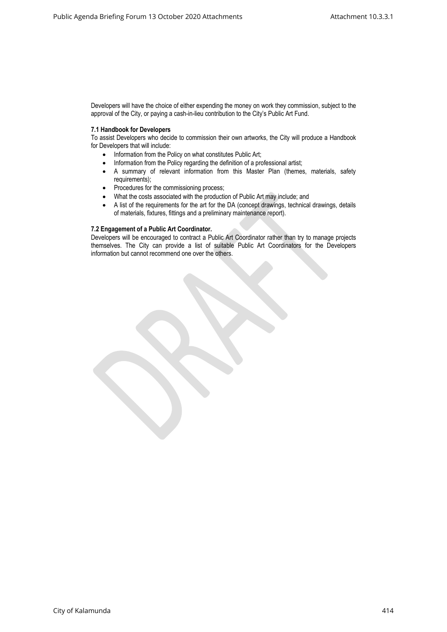Developers will have the choice of either expending the money on work they commission, subject to the approval of the City, or paying a cash-in-lieu contribution to the City's Public Art Fund.

## **7.1 Handbook for Developers**

To assist Developers who decide to commission their own artworks, the City will produce a Handbook for Developers that will include:

- Information from the Policy on what constitutes Public Art;
- Information from the Policy regarding the definition of a professional artist;
- A summary of relevant information from this Master Plan (themes, materials, safety requirements);
- Procedures for the commissioning process;
- What the costs associated with the production of Public Art may include; and
- A list of the requirements for the art for the DA (concept drawings, technical drawings, details of materials, fixtures, fittings and a preliminary maintenance report).

## **7.2 Engagement of a Public Art Coordinator.**

Developers will be encouraged to contract a Public Art Coordinator rather than try to manage projects themselves. The City can provide a list of suitable Public Art Coordinators for the Developers information but cannot recommend one over the others.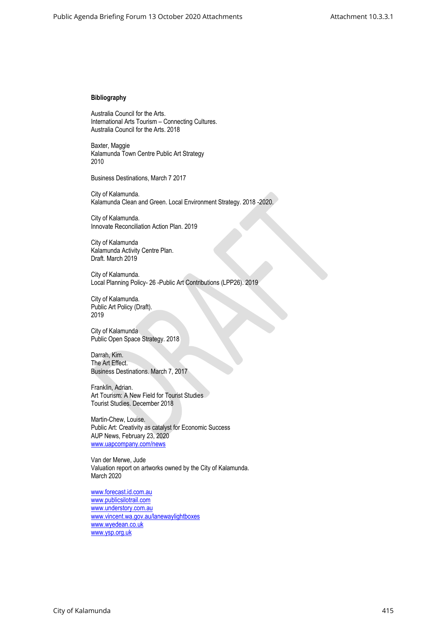## **Bibliography**

Australia Council for the Arts. International Arts Tourism – Connecting Cultures. Australia Council for the Arts. 2018

Baxter, Maggie Kalamunda Town Centre Public Art Strategy 2010

Business Destinations, March 7 2017

City of Kalamunda. Kalamunda Clean and Green. Local Environment Strategy. 2018 -2020.

City of Kalamunda. Innovate Reconciliation Action Plan. 2019

City of Kalamunda Kalamunda Activity Centre Plan. Draft. March 2019

City of Kalamunda. Local Planning Policy- 26 -Public Art Contributions (LPP26). 2019

City of Kalamunda. Public Art Policy (Draft). 2019

City of Kalamunda Public Open Space Strategy. 2018

Darrah, Kim. The Art Effect. Business Destinations. March 7, 2017

Franklin, Adrian. Art Tourism: A New Field for Tourist Studies Tourist Studies. December 2018

Martin-Chew, Louise. Public Art: Creativity as catalyst for Economic Success AUP News, February 23, 2020 [www.uapcompany.com/news](http://www.uapcompany.com/news)

Van der Merwe, Jude Valuation report on artworks owned by the City of Kalamunda. March 2020

[www.forecast.id.com.au](http://www.forecast.id.com.au/) [www.publicsilotrail.com](http://www.publicsilotrail.com/) [www.understory.com.au](http://www.understory.com.au/) [www.vincent.wa.gov.au/lanewaylightboxes](http://www.vincent.wa.gov.au/lanewaylightboxes) [www.wyedean.co.uk](http://www.wyedean.co.uk/) [www.ysp.org.uk](http://www.ysp.org.uk/)